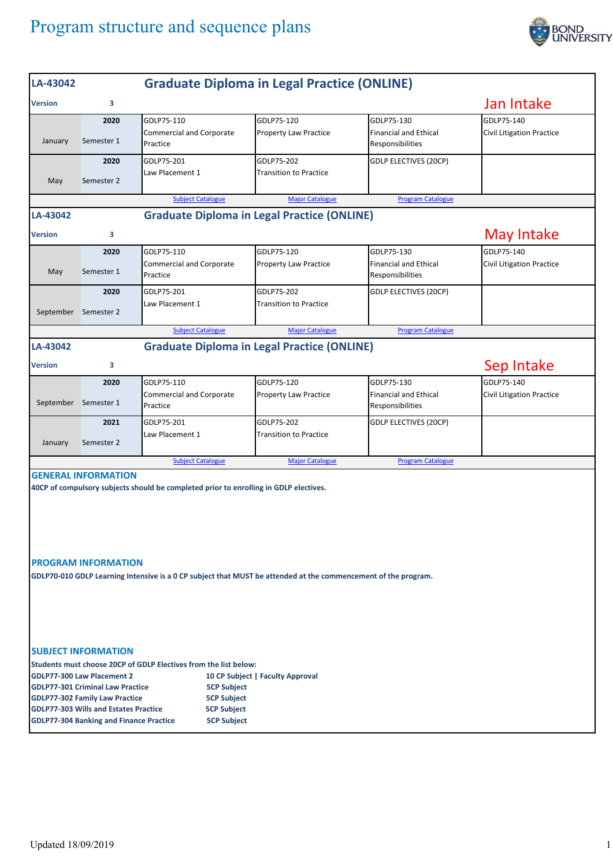## Program structure and sequence plans



| LA-43042                                                                                                                                                                                                                                                                                                                                                                      | <b>Graduate Diploma in Legal Practice (ONLINE)</b> |                                             |                                                    |                                                  |                                  |  |  |  |
|-------------------------------------------------------------------------------------------------------------------------------------------------------------------------------------------------------------------------------------------------------------------------------------------------------------------------------------------------------------------------------|----------------------------------------------------|---------------------------------------------|----------------------------------------------------|--------------------------------------------------|----------------------------------|--|--|--|
| <b>Version</b>                                                                                                                                                                                                                                                                                                                                                                | з                                                  |                                             |                                                    |                                                  | Jan Intake                       |  |  |  |
|                                                                                                                                                                                                                                                                                                                                                                               | 2020                                               | GDLP75-110                                  | GDLP75-120                                         | GDLP75-130                                       | GDLP75-140                       |  |  |  |
| January                                                                                                                                                                                                                                                                                                                                                                       | Semester 1                                         | <b>Commercial and Corporate</b><br>Practice | <b>Property Law Practice</b>                       | <b>Financial and Ethical</b><br>Responsibilities | <b>Civil Litigation Practice</b> |  |  |  |
|                                                                                                                                                                                                                                                                                                                                                                               | 2020                                               | GDLP75-201                                  | GDLP75-202                                         | <b>GDLP ELECTIVES (20CP)</b>                     |                                  |  |  |  |
| May                                                                                                                                                                                                                                                                                                                                                                           | Semester 2                                         | Law Placement 1                             | <b>Transition to Practice</b>                      |                                                  |                                  |  |  |  |
|                                                                                                                                                                                                                                                                                                                                                                               |                                                    | <b>Subject Catalogue</b>                    | <b>Major Catalogue</b>                             | <b>Program Catalogue</b>                         |                                  |  |  |  |
| LA-43042                                                                                                                                                                                                                                                                                                                                                                      | <b>Graduate Diploma in Legal Practice (ONLINE)</b> |                                             |                                                    |                                                  |                                  |  |  |  |
| <b>Version</b>                                                                                                                                                                                                                                                                                                                                                                | з                                                  |                                             |                                                    |                                                  | May Intake                       |  |  |  |
|                                                                                                                                                                                                                                                                                                                                                                               | 2020                                               | GDLP75-110                                  | GDLP75-120                                         | GDLP75-130                                       | GDLP75-140                       |  |  |  |
| May                                                                                                                                                                                                                                                                                                                                                                           | Semester 1                                         | <b>Commercial and Corporate</b><br>Practice | Property Law Practice                              | <b>Financial and Ethical</b><br>Responsibilities | <b>Civil Litigation Practice</b> |  |  |  |
|                                                                                                                                                                                                                                                                                                                                                                               | 2020                                               | GDLP75-201                                  | GDLP75-202                                         | <b>GDLP ELECTIVES (20CP)</b>                     |                                  |  |  |  |
| September Semester 2                                                                                                                                                                                                                                                                                                                                                          |                                                    | Law Placement 1                             | <b>Transition to Practice</b>                      |                                                  |                                  |  |  |  |
|                                                                                                                                                                                                                                                                                                                                                                               |                                                    | <b>Subject Catalogue</b>                    | <b>Major Catalogue</b>                             | <b>Program Catalogue</b>                         |                                  |  |  |  |
| LA-43042                                                                                                                                                                                                                                                                                                                                                                      |                                                    |                                             | <b>Graduate Diploma in Legal Practice (ONLINE)</b> |                                                  |                                  |  |  |  |
| <b>Version</b>                                                                                                                                                                                                                                                                                                                                                                | з                                                  |                                             |                                                    |                                                  | Sep Intake                       |  |  |  |
|                                                                                                                                                                                                                                                                                                                                                                               | 2020                                               | GDLP75-110                                  | GDLP75-120                                         | GDLP75-130                                       | GDLP75-140                       |  |  |  |
| September Semester 1                                                                                                                                                                                                                                                                                                                                                          |                                                    | <b>Commercial and Corporate</b><br>Practice | <b>Property Law Practice</b>                       | <b>Financial and Ethical</b><br>Responsibilities | Civil Litigation Practice        |  |  |  |
|                                                                                                                                                                                                                                                                                                                                                                               | 2021                                               | GDLP75-201                                  | GDLP75-202                                         | <b>GDLP ELECTIVES (20CP)</b>                     |                                  |  |  |  |
| January                                                                                                                                                                                                                                                                                                                                                                       | Semester 2                                         | Law Placement 1                             | <b>Transition to Practice</b>                      |                                                  |                                  |  |  |  |
|                                                                                                                                                                                                                                                                                                                                                                               |                                                    | <b>Subject Catalogue</b>                    | <b>Major Catalogue</b>                             | <b>Program Catalogue</b>                         |                                  |  |  |  |
|                                                                                                                                                                                                                                                                                                                                                                               | <b>GENERAL INFORMATION</b>                         |                                             |                                                    |                                                  |                                  |  |  |  |
| 40CP of compulsory subjects should be completed prior to enrolling in GDLP electives.<br><b>PROGRAM INFORMATION</b><br>GDLP70-010 GDLP Learning Intensive is a 0 CP subject that MUST be attended at the commencement of the program.                                                                                                                                         |                                                    |                                             |                                                    |                                                  |                                  |  |  |  |
| <b>SUBJECT INFORMATION</b><br>Students must choose 20CP of GDLP Electives from the list below:<br><b>GDLP77-300 Law Placement 2</b><br>10 CP Subject   Faculty Approval<br><b>GDLP77-301 Criminal Law Practice</b><br><b>5CP Subject</b><br><b>5CP Subject</b><br><b>GDLP77-302 Family Law Practice</b><br><b>GDLP77-303 Wills and Estates Practice</b><br><b>5CP Subject</b> |                                                    |                                             |                                                    |                                                  |                                  |  |  |  |
| <b>GDLP77-304 Banking and Finance Practice</b><br><b>5CP Subject</b>                                                                                                                                                                                                                                                                                                          |                                                    |                                             |                                                    |                                                  |                                  |  |  |  |
|                                                                                                                                                                                                                                                                                                                                                                               |                                                    |                                             |                                                    |                                                  |                                  |  |  |  |